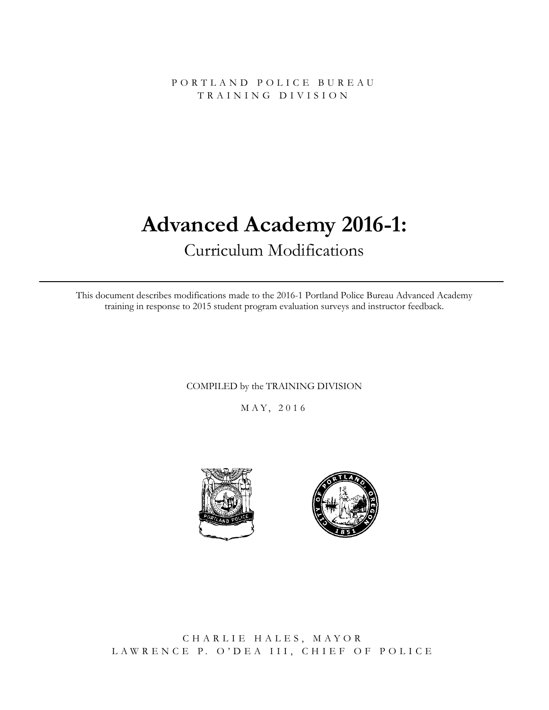PORTLAND POLICE BURE A U TRAINING DIVISION

# **Advanced Academy 2016-1:**

# Curriculum Modifications

This document describes modifications made to the 2016-1 Portland Police Bureau Advanced Academy training in response to 2015 student program evaluation surveys and instructor feedback.

COMPILED by the TRAINING DIVISION

M AY, 2016





CHARLIE HALES, MAYOR LAWRENCE P. O'DEA III, CHIEF OF POLICE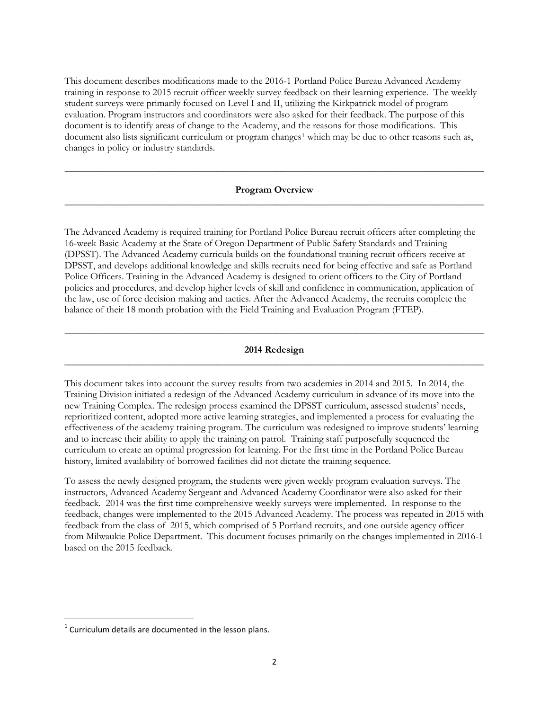This document describes modifications made to the 2016-1 Portland Police Bureau Advanced Academy training in response to 2015 recruit officer weekly survey feedback on their learning experience. The weekly student surveys were primarily focused on Level I and II, utilizing the Kirkpatrick model of program evaluation. Program instructors and coordinators were also asked for their feedback. The purpose of this document is to identify areas of change to the Academy, and the reasons for those modifications. This document also lists significant curriculum or program changes<sup>[1](#page-1-0)</sup> which may be due to other reasons such as, changes in policy or industry standards.

#### **Program Overview** \_\_\_\_\_\_\_\_\_\_\_\_\_\_\_\_\_\_\_\_\_\_\_\_\_\_\_\_\_\_\_\_\_\_\_\_\_\_\_\_\_\_\_\_\_\_\_\_\_\_\_\_\_\_\_\_\_\_\_\_\_\_\_\_\_\_\_\_\_\_\_\_\_\_\_\_\_\_\_\_\_\_\_\_\_

\_\_\_\_\_\_\_\_\_\_\_\_\_\_\_\_\_\_\_\_\_\_\_\_\_\_\_\_\_\_\_\_\_\_\_\_\_\_\_\_\_\_\_\_\_\_\_\_\_\_\_\_\_\_\_\_\_\_\_\_\_\_\_\_\_\_\_\_\_\_\_\_\_\_\_\_\_\_\_\_\_\_\_\_\_

The Advanced Academy is required training for Portland Police Bureau recruit officers after completing the 16-week Basic Academy at the State of Oregon Department of Public Safety Standards and Training (DPSST). The Advanced Academy curricula builds on the foundational training recruit officers receive at DPSST, and develops additional knowledge and skills recruits need for being effective and safe as Portland Police Officers. Training in the Advanced Academy is designed to orient officers to the City of Portland policies and procedures, and develop higher levels of skill and confidence in communication, application of the law, use of force decision making and tactics. After the Advanced Academy, the recruits complete the balance of their 18 month probation with the Field Training and Evaluation Program (FTEP).

#### **2014 Redesign** \_\_\_\_\_\_\_\_\_\_\_\_\_\_\_\_\_\_\_\_\_\_\_\_\_\_\_\_\_\_\_\_\_\_\_\_\_\_\_\_\_\_\_\_\_\_\_\_\_\_\_\_\_\_\_\_\_\_\_\_\_\_\_\_\_\_\_\_\_\_\_\_\_\_\_\_\_\_\_\_\_\_\_\_\_

**\_\_\_\_\_\_\_\_\_\_\_\_\_\_\_\_\_\_\_\_\_\_\_\_\_\_\_\_\_\_\_\_\_\_\_\_\_\_\_\_\_\_\_\_\_\_\_\_\_\_\_\_\_\_\_\_\_\_\_\_\_\_\_\_\_\_\_\_\_\_\_\_\_\_\_\_\_\_\_\_\_\_\_\_\_**

This document takes into account the survey results from two academies in 2014 and 2015. In 2014, the Training Division initiated a redesign of the Advanced Academy curriculum in advance of its move into the new Training Complex. The redesign process examined the DPSST curriculum, assessed students' needs, reprioritized content, adopted more active learning strategies, and implemented a process for evaluating the effectiveness of the academy training program. The curriculum was redesigned to improve students' learning and to increase their ability to apply the training on patrol. Training staff purposefully sequenced the curriculum to create an optimal progression for learning. For the first time in the Portland Police Bureau history, limited availability of borrowed facilities did not dictate the training sequence.

To assess the newly designed program, the students were given weekly program evaluation surveys. The instructors, Advanced Academy Sergeant and Advanced Academy Coordinator were also asked for their feedback. 2014 was the first time comprehensive weekly surveys were implemented. In response to the feedback, changes were implemented to the 2015 Advanced Academy. The process was repeated in 2015 with feedback from the class of 2015, which comprised of 5 Portland recruits, and one outside agency officer from Milwaukie Police Department. This document focuses primarily on the changes implemented in 2016-1 based on the 2015 feedback.

 $\overline{\phantom{a}}$ 

<span id="page-1-0"></span> $1$  Curriculum details are documented in the lesson plans.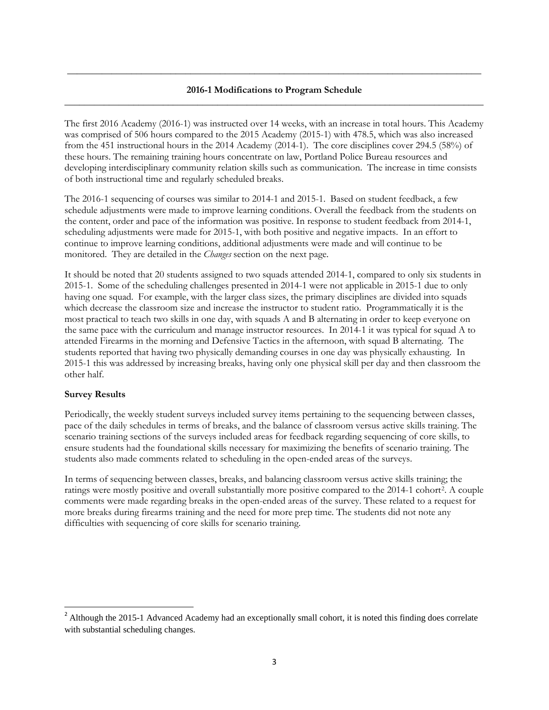# **2016-1 Modifications to Program Schedule**  \_\_\_\_\_\_\_\_\_\_\_\_\_\_\_\_\_\_\_\_\_\_\_\_\_\_\_\_\_\_\_\_\_\_\_\_\_\_\_\_\_\_\_\_\_\_\_\_\_\_\_\_\_\_\_\_\_\_\_\_\_\_\_\_\_\_\_\_\_\_\_\_\_\_\_\_\_\_\_\_\_\_\_\_\_

**\_\_\_\_\_\_\_\_\_\_\_\_\_\_\_\_\_\_\_\_\_\_\_\_\_\_\_\_\_\_\_\_\_\_\_\_\_\_\_\_\_\_\_\_\_\_\_\_\_\_\_\_\_\_\_\_\_\_\_\_\_\_\_\_\_\_\_\_\_\_\_\_\_\_\_\_\_\_\_\_\_\_\_\_**

The first 2016 Academy (2016-1) was instructed over 14 weeks, with an increase in total hours. This Academy was comprised of 506 hours compared to the 2015 Academy (2015-1) with 478.5, which was also increased from the 451 instructional hours in the 2014 Academy (2014-1). The core disciplines cover 294.5 (58%) of these hours. The remaining training hours concentrate on law, Portland Police Bureau resources and developing interdisciplinary community relation skills such as communication. The increase in time consists of both instructional time and regularly scheduled breaks.

The 2016-1 sequencing of courses was similar to 2014-1 and 2015-1. Based on student feedback, a few schedule adjustments were made to improve learning conditions. Overall the feedback from the students on the content, order and pace of the information was positive. In response to student feedback from 2014-1, scheduling adjustments were made for 2015-1, with both positive and negative impacts. In an effort to continue to improve learning conditions, additional adjustments were made and will continue to be monitored. They are detailed in the *Changes* section on the next page.

It should be noted that 20 students assigned to two squads attended 2014-1, compared to only six students in 2015-1. Some of the scheduling challenges presented in 2014-1 were not applicable in 2015-1 due to only having one squad. For example, with the larger class sizes, the primary disciplines are divided into squads which decrease the classroom size and increase the instructor to student ratio. Programmatically it is the most practical to teach two skills in one day, with squads A and B alternating in order to keep everyone on the same pace with the curriculum and manage instructor resources. In 2014-1 it was typical for squad A to attended Firearms in the morning and Defensive Tactics in the afternoon, with squad B alternating. The students reported that having two physically demanding courses in one day was physically exhausting. In 2015-1 this was addressed by increasing breaks, having only one physical skill per day and then classroom the other half.

# **Survey Results**

 $\overline{\phantom{a}}$ 

Periodically, the weekly student surveys included survey items pertaining to the sequencing between classes, pace of the daily schedules in terms of breaks, and the balance of classroom versus active skills training. The scenario training sections of the surveys included areas for feedback regarding sequencing of core skills, to ensure students had the foundational skills necessary for maximizing the benefits of scenario training. The students also made comments related to scheduling in the open-ended areas of the surveys.

In terms of sequencing between classes, breaks, and balancing classroom versus active skills training; the ratings were mostly positive and overall substantially more positive compared to the 2014-1 cohort[2.](#page-2-0) A couple comments were made regarding breaks in the open-ended areas of the survey. These related to a request for more breaks during firearms training and the need for more prep time. The students did not note any difficulties with sequencing of core skills for scenario training.

<span id="page-2-0"></span><sup>&</sup>lt;sup>2</sup> Although the 2015-1 Advanced Academy had an exceptionally small cohort, it is noted this finding does correlate with substantial scheduling changes.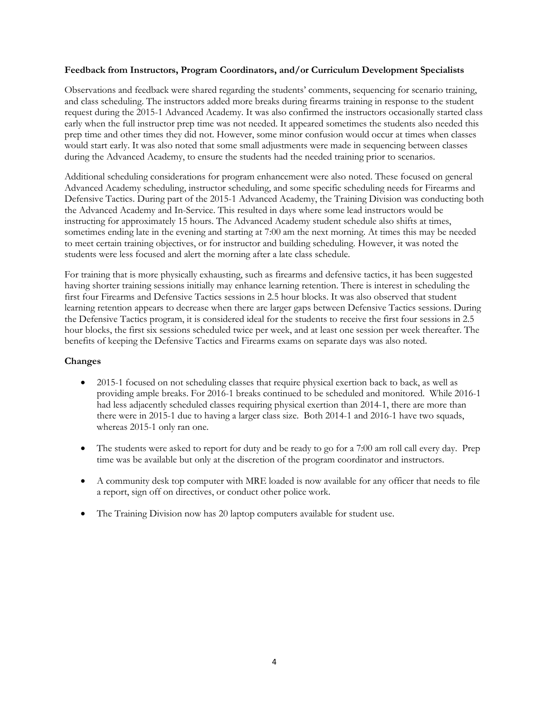#### **Feedback from Instructors, Program Coordinators, and/or Curriculum Development Specialists**

Observations and feedback were shared regarding the students' comments, sequencing for scenario training, and class scheduling. The instructors added more breaks during firearms training in response to the student request during the 2015-1 Advanced Academy. It was also confirmed the instructors occasionally started class early when the full instructor prep time was not needed. It appeared sometimes the students also needed this prep time and other times they did not. However, some minor confusion would occur at times when classes would start early. It was also noted that some small adjustments were made in sequencing between classes during the Advanced Academy, to ensure the students had the needed training prior to scenarios.

Additional scheduling considerations for program enhancement were also noted. These focused on general Advanced Academy scheduling, instructor scheduling, and some specific scheduling needs for Firearms and Defensive Tactics. During part of the 2015-1 Advanced Academy, the Training Division was conducting both the Advanced Academy and In-Service. This resulted in days where some lead instructors would be instructing for approximately 15 hours. The Advanced Academy student schedule also shifts at times, sometimes ending late in the evening and starting at 7:00 am the next morning. At times this may be needed to meet certain training objectives, or for instructor and building scheduling. However, it was noted the students were less focused and alert the morning after a late class schedule.

For training that is more physically exhausting, such as firearms and defensive tactics, it has been suggested having shorter training sessions initially may enhance learning retention. There is interest in scheduling the first four Firearms and Defensive Tactics sessions in 2.5 hour blocks. It was also observed that student learning retention appears to decrease when there are larger gaps between Defensive Tactics sessions. During the Defensive Tactics program, it is considered ideal for the students to receive the first four sessions in 2.5 hour blocks, the first six sessions scheduled twice per week, and at least one session per week thereafter. The benefits of keeping the Defensive Tactics and Firearms exams on separate days was also noted.

# **Changes**

- 2015-1 focused on not scheduling classes that require physical exertion back to back, as well as providing ample breaks. For 2016-1 breaks continued to be scheduled and monitored. While 2016-1 had less adjacently scheduled classes requiring physical exertion than 2014-1, there are more than there were in 2015-1 due to having a larger class size. Both 2014-1 and 2016-1 have two squads, whereas 2015-1 only ran one.
- The students were asked to report for duty and be ready to go for a 7:00 am roll call every day. Prep time was be available but only at the discretion of the program coordinator and instructors.
- A community desk top computer with MRE loaded is now available for any officer that needs to file a report, sign off on directives, or conduct other police work.
- The Training Division now has 20 laptop computers available for student use.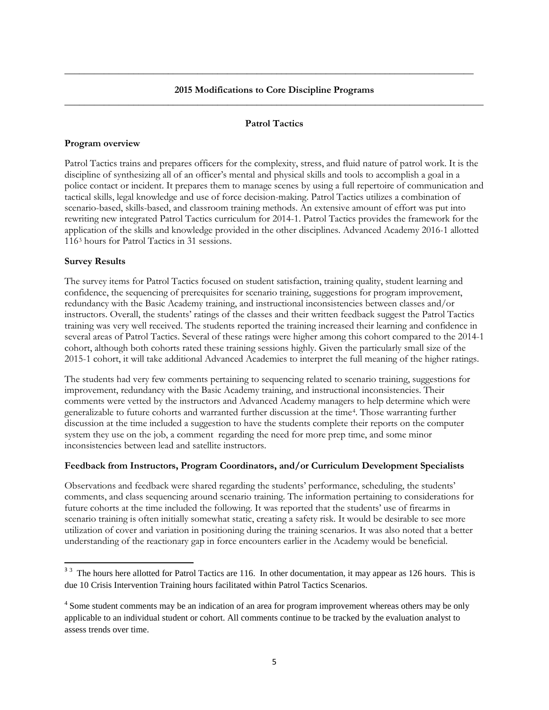# **2015 Modifications to Core Discipline Programs** \_\_\_\_\_\_\_\_\_\_\_\_\_\_\_\_\_\_\_\_\_\_\_\_\_\_\_\_\_\_\_\_\_\_\_\_\_\_\_\_\_\_\_\_\_\_\_\_\_\_\_\_\_\_\_\_\_\_\_\_\_\_\_\_\_\_\_\_\_\_\_\_\_\_\_\_\_\_\_\_\_\_\_\_\_

**\_\_\_\_\_\_\_\_\_\_\_\_\_\_\_\_\_\_\_\_\_\_\_\_\_\_\_\_\_\_\_\_\_\_\_\_\_\_\_\_\_\_\_\_\_\_\_\_\_\_\_\_\_\_\_\_\_\_\_\_\_\_\_\_\_\_\_\_\_\_\_\_\_\_\_\_\_\_\_\_\_\_\_**

# **Patrol Tactics**

# **Program overview**

Patrol Tactics trains and prepares officers for the complexity, stress, and fluid nature of patrol work. It is the discipline of synthesizing all of an officer's mental and physical skills and tools to accomplish a goal in a police contact or incident. It prepares them to manage scenes by using a full repertoire of communication and tactical skills, legal knowledge and use of force decision-making. Patrol Tactics utilizes a combination of scenario-based, skills-based, and classroom training methods. An extensive amount of effort was put into rewriting new integrated Patrol Tactics curriculum for 2014-1. Patrol Tactics provides the framework for the application of the skills and knowledge provided in the other disciplines. Advanced Academy 2016-1 allotted 116[3](#page-4-0) hours for Patrol Tactics in 31 sessions.

#### **Survey Results**

l

The survey items for Patrol Tactics focused on student satisfaction, training quality, student learning and confidence, the sequencing of prerequisites for scenario training, suggestions for program improvement, redundancy with the Basic Academy training, and instructional inconsistencies between classes and/or instructors. Overall, the students' ratings of the classes and their written feedback suggest the Patrol Tactics training was very well received. The students reported the training increased their learning and confidence in several areas of Patrol Tactics. Several of these ratings were higher among this cohort compared to the 2014-1 cohort, although both cohorts rated these training sessions highly. Given the particularly small size of the 2015-1 cohort, it will take additional Advanced Academies to interpret the full meaning of the higher ratings.

The students had very few comments pertaining to sequencing related to scenario training, suggestions for improvement, redundancy with the Basic Academy training, and instructional inconsistencies. Their comments were vetted by the instructors and Advanced Academy managers to help determine which were generalizable to future cohorts and warranted further discussion at the time[4.](#page-4-1) Those warranting further discussion at the time included a suggestion to have the students complete their reports on the computer system they use on the job, a comment regarding the need for more prep time, and some minor inconsistencies between lead and satellite instructors.

# **Feedback from Instructors, Program Coordinators, and/or Curriculum Development Specialists**

Observations and feedback were shared regarding the students' performance, scheduling, the students' comments, and class sequencing around scenario training. The information pertaining to considerations for future cohorts at the time included the following. It was reported that the students' use of firearms in scenario training is often initially somewhat static, creating a safety risk. It would be desirable to see more utilization of cover and variation in positioning during the training scenarios. It was also noted that a better understanding of the reactionary gap in force encounters earlier in the Academy would be beneficial.

<span id="page-4-0"></span><sup>&</sup>lt;sup>33</sup> The hours here allotted for Patrol Tactics are 116. In other documentation, it may appear as 126 hours. This is due 10 Crisis Intervention Training hours facilitated within Patrol Tactics Scenarios.

<span id="page-4-1"></span><sup>&</sup>lt;sup>4</sup> Some student comments may be an indication of an area for program improvement whereas others may be only applicable to an individual student or cohort. All comments continue to be tracked by the evaluation analyst to assess trends over time.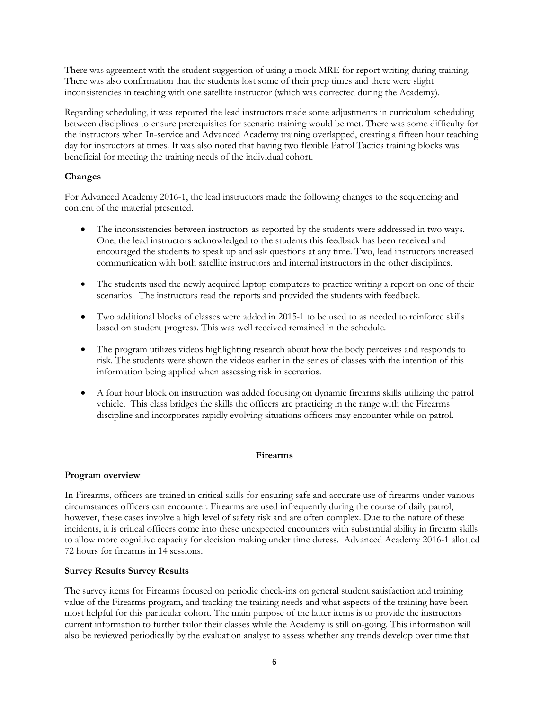There was agreement with the student suggestion of using a mock MRE for report writing during training. There was also confirmation that the students lost some of their prep times and there were slight inconsistencies in teaching with one satellite instructor (which was corrected during the Academy).

Regarding scheduling, it was reported the lead instructors made some adjustments in curriculum scheduling between disciplines to ensure prerequisites for scenario training would be met. There was some difficulty for the instructors when In-service and Advanced Academy training overlapped, creating a fifteen hour teaching day for instructors at times. It was also noted that having two flexible Patrol Tactics training blocks was beneficial for meeting the training needs of the individual cohort.

# **Changes**

For Advanced Academy 2016-1, the lead instructors made the following changes to the sequencing and content of the material presented.

- The inconsistencies between instructors as reported by the students were addressed in two ways. One, the lead instructors acknowledged to the students this feedback has been received and encouraged the students to speak up and ask questions at any time. Two, lead instructors increased communication with both satellite instructors and internal instructors in the other disciplines.
- The students used the newly acquired laptop computers to practice writing a report on one of their scenarios. The instructors read the reports and provided the students with feedback.
- Two additional blocks of classes were added in 2015-1 to be used to as needed to reinforce skills based on student progress. This was well received remained in the schedule.
- The program utilizes videos highlighting research about how the body perceives and responds to risk. The students were shown the videos earlier in the series of classes with the intention of this information being applied when assessing risk in scenarios.
- A four hour block on instruction was added focusing on dynamic firearms skills utilizing the patrol vehicle. This class bridges the skills the officers are practicing in the range with the Firearms discipline and incorporates rapidly evolving situations officers may encounter while on patrol.

# **Firearms**

# **Program overview**

In Firearms, officers are trained in critical skills for ensuring safe and accurate use of firearms under various circumstances officers can encounter. Firearms are used infrequently during the course of daily patrol, however, these cases involve a high level of safety risk and are often complex. Due to the nature of these incidents, it is critical officers come into these unexpected encounters with substantial ability in firearm skills to allow more cognitive capacity for decision making under time duress. Advanced Academy 2016-1 allotted 72 hours for firearms in 14 sessions.

# **Survey Results Survey Results**

The survey items for Firearms focused on periodic check-ins on general student satisfaction and training value of the Firearms program, and tracking the training needs and what aspects of the training have been most helpful for this particular cohort. The main purpose of the latter items is to provide the instructors current information to further tailor their classes while the Academy is still on-going. This information will also be reviewed periodically by the evaluation analyst to assess whether any trends develop over time that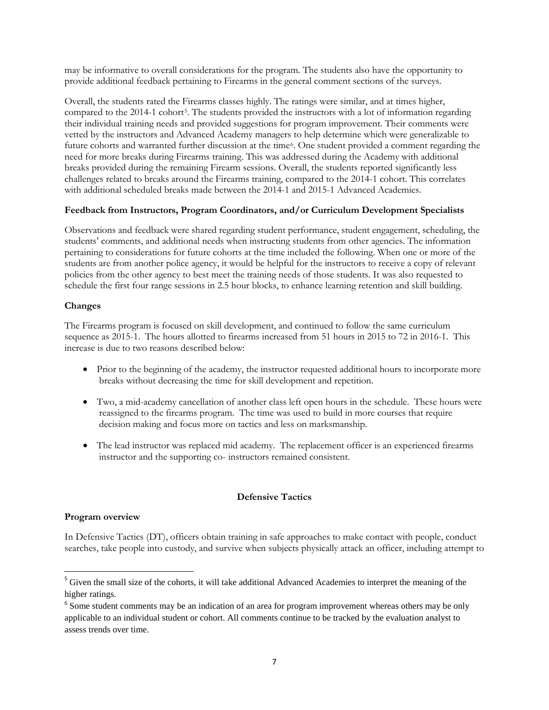may be informative to overall considerations for the program. The students also have the opportunity to provide additional feedback pertaining to Firearms in the general comment sections of the surveys.

Overall, the students rated the Firearms classes highly. The ratings were similar, and at times higher, compared to the 2014-1 cohort<sup>5</sup>. The students provided the instructors with a lot of information regarding their individual training needs and provided suggestions for program improvement. Their comments were vetted by the instructors and Advanced Academy managers to help determine which were generalizable to future cohorts and warranted further discussion at the time[6](#page-6-1). One student provided a comment regarding the need for more breaks during Firearms training. This was addressed during the Academy with additional breaks provided during the remaining Firearm sessions. Overall, the students reported significantly less challenges related to breaks around the Firearms training, compared to the 2014-1 cohort. This correlates with additional scheduled breaks made between the 2014-1 and 2015-1 Advanced Academies.

#### **Feedback from Instructors, Program Coordinators, and/or Curriculum Development Specialists**

Observations and feedback were shared regarding student performance, student engagement, scheduling, the students' comments, and additional needs when instructing students from other agencies. The information pertaining to considerations for future cohorts at the time included the following. When one or more of the students are from another police agency, it would be helpful for the instructors to receive a copy of relevant policies from the other agency to best meet the training needs of those students. It was also requested to schedule the first four range sessions in 2.5 hour blocks, to enhance learning retention and skill building.

#### **Changes**

The Firearms program is focused on skill development, and continued to follow the same curriculum sequence as 2015-1. The hours allotted to firearms increased from 51 hours in 2015 to 72 in 2016-1. This increase is due to two reasons described below:

- Prior to the beginning of the academy, the instructor requested additional hours to incorporate more breaks without decreasing the time for skill development and repetition.
- Two, a mid-academy cancellation of another class left open hours in the schedule. These hours were reassigned to the firearms program. The time was used to build in more courses that require decision making and focus more on tactics and less on marksmanship.
- The lead instructor was replaced mid academy. The replacement officer is an experienced firearms instructor and the supporting co- instructors remained consistent.

#### **Defensive Tactics**

#### **Program overview**

 $\overline{\phantom{a}}$ 

In Defensive Tactics (DT), officers obtain training in safe approaches to make contact with people, conduct searches, take people into custody, and survive when subjects physically attack an officer, including attempt to

<span id="page-6-0"></span><sup>&</sup>lt;sup>5</sup> Given the small size of the cohorts, it will take additional Advanced Academies to interpret the meaning of the higher ratings.

<span id="page-6-1"></span><sup>&</sup>lt;sup>6</sup> Some student comments may be an indication of an area for program improvement whereas others may be only applicable to an individual student or cohort. All comments continue to be tracked by the evaluation analyst to assess trends over time.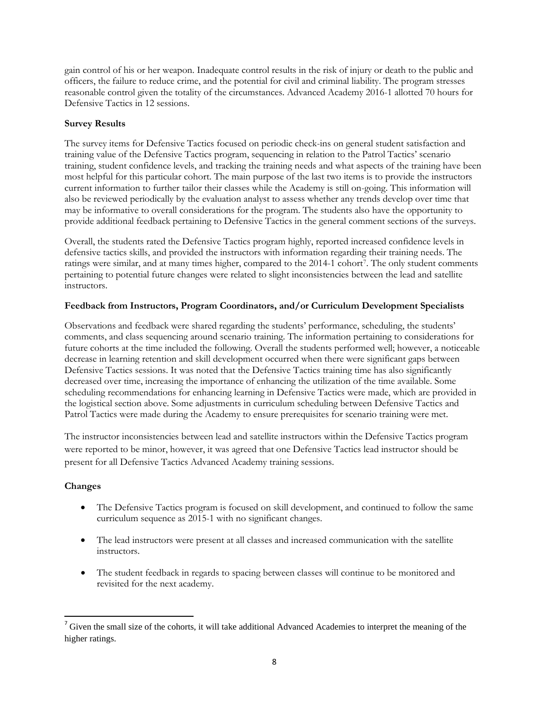gain control of his or her weapon. Inadequate control results in the risk of injury or death to the public and officers, the failure to reduce crime, and the potential for civil and criminal liability. The program stresses reasonable control given the totality of the circumstances. Advanced Academy 2016-1 allotted 70 hours for Defensive Tactics in 12 sessions.

# **Survey Results**

The survey items for Defensive Tactics focused on periodic check-ins on general student satisfaction and training value of the Defensive Tactics program, sequencing in relation to the Patrol Tactics' scenario training, student confidence levels, and tracking the training needs and what aspects of the training have been most helpful for this particular cohort. The main purpose of the last two items is to provide the instructors current information to further tailor their classes while the Academy is still on-going. This information will also be reviewed periodically by the evaluation analyst to assess whether any trends develop over time that may be informative to overall considerations for the program. The students also have the opportunity to provide additional feedback pertaining to Defensive Tactics in the general comment sections of the surveys.

Overall, the students rated the Defensive Tactics program highly, reported increased confidence levels in defensive tactics skills, and provided the instructors with information regarding their training needs. The ratings were similar, and at many times higher, compared to the 2014-1 cohort[7.](#page-7-0) The only student comments pertaining to potential future changes were related to slight inconsistencies between the lead and satellite instructors.

# **Feedback from Instructors, Program Coordinators, and/or Curriculum Development Specialists**

Observations and feedback were shared regarding the students' performance, scheduling, the students' comments, and class sequencing around scenario training. The information pertaining to considerations for future cohorts at the time included the following. Overall the students performed well; however, a noticeable decrease in learning retention and skill development occurred when there were significant gaps between Defensive Tactics sessions. It was noted that the Defensive Tactics training time has also significantly decreased over time, increasing the importance of enhancing the utilization of the time available. Some scheduling recommendations for enhancing learning in Defensive Tactics were made, which are provided in the logistical section above. Some adjustments in curriculum scheduling between Defensive Tactics and Patrol Tactics were made during the Academy to ensure prerequisites for scenario training were met.

The instructor inconsistencies between lead and satellite instructors within the Defensive Tactics program were reported to be minor, however, it was agreed that one Defensive Tactics lead instructor should be present for all Defensive Tactics Advanced Academy training sessions.

# **Changes**

 $\overline{\phantom{a}}$ 

- The Defensive Tactics program is focused on skill development, and continued to follow the same curriculum sequence as 2015-1 with no significant changes.
- The lead instructors were present at all classes and increased communication with the satellite instructors.
- The student feedback in regards to spacing between classes will continue to be monitored and revisited for the next academy.

<span id="page-7-0"></span> $<sup>7</sup>$  Given the small size of the cohorts, it will take additional Advanced Academies to interpret the meaning of the</sup> higher ratings.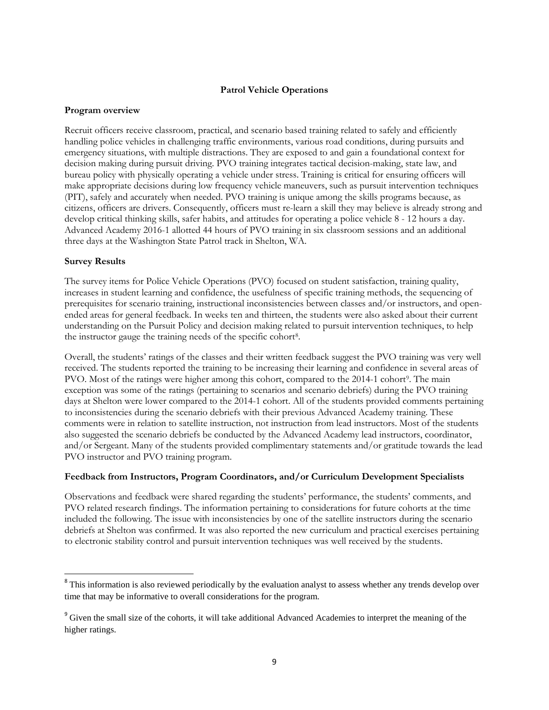#### **Patrol Vehicle Operations**

#### **Program overview**

Recruit officers receive classroom, practical, and scenario based training related to safely and efficiently handling police vehicles in challenging traffic environments, various road conditions, during pursuits and emergency situations, with multiple distractions. They are exposed to and gain a foundational context for decision making during pursuit driving. PVO training integrates tactical decision-making, state law, and bureau policy with physically operating a vehicle under stress. Training is critical for ensuring officers will make appropriate decisions during low frequency vehicle maneuvers, such as pursuit intervention techniques (PIT), safely and accurately when needed. PVO training is unique among the skills programs because, as citizens, officers are drivers. Consequently, officers must re-learn a skill they may believe is already strong and develop critical thinking skills, safer habits, and attitudes for operating a police vehicle 8 - 12 hours a day. Advanced Academy 2016-1 allotted 44 hours of PVO training in six classroom sessions and an additional three days at the Washington State Patrol track in Shelton, WA.

# **Survey Results**

 $\overline{\phantom{a}}$ 

The survey items for Police Vehicle Operations (PVO) focused on student satisfaction, training quality, increases in student learning and confidence, the usefulness of specific training methods, the sequencing of prerequisites for scenario training, instructional inconsistencies between classes and/or instructors, and openended areas for general feedback. In weeks ten and thirteen, the students were also asked about their current understanding on the Pursuit Policy and decision making related to pursuit intervention techniques, to help the instructor gauge the training needs of the specific cohort<sup>8</sup>.

Overall, the students' ratings of the classes and their written feedback suggest the PVO training was very well received. The students reported the training to be increasing their learning and confidence in several areas of PVO. Most of the ratings were higher among this cohort, compared to the 2014-1 cohort<sup>[9](#page-8-1)</sup>. The main exception was some of the ratings (pertaining to scenarios and scenario debriefs) during the PVO training days at Shelton were lower compared to the 2014-1 cohort. All of the students provided comments pertaining to inconsistencies during the scenario debriefs with their previous Advanced Academy training. These comments were in relation to satellite instruction, not instruction from lead instructors. Most of the students also suggested the scenario debriefs be conducted by the Advanced Academy lead instructors, coordinator, and/or Sergeant. Many of the students provided complimentary statements and/or gratitude towards the lead PVO instructor and PVO training program.

# **Feedback from Instructors, Program Coordinators, and/or Curriculum Development Specialists**

Observations and feedback were shared regarding the students' performance, the students' comments, and PVO related research findings. The information pertaining to considerations for future cohorts at the time included the following. The issue with inconsistencies by one of the satellite instructors during the scenario debriefs at Shelton was confirmed. It was also reported the new curriculum and practical exercises pertaining to electronic stability control and pursuit intervention techniques was well received by the students.

<span id="page-8-0"></span><sup>&</sup>lt;sup>8</sup> This information is also reviewed periodically by the evaluation analyst to assess whether any trends develop over time that may be informative to overall considerations for the program.

<span id="page-8-1"></span><sup>&</sup>lt;sup>9</sup> Given the small size of the cohorts, it will take additional Advanced Academies to interpret the meaning of the higher ratings.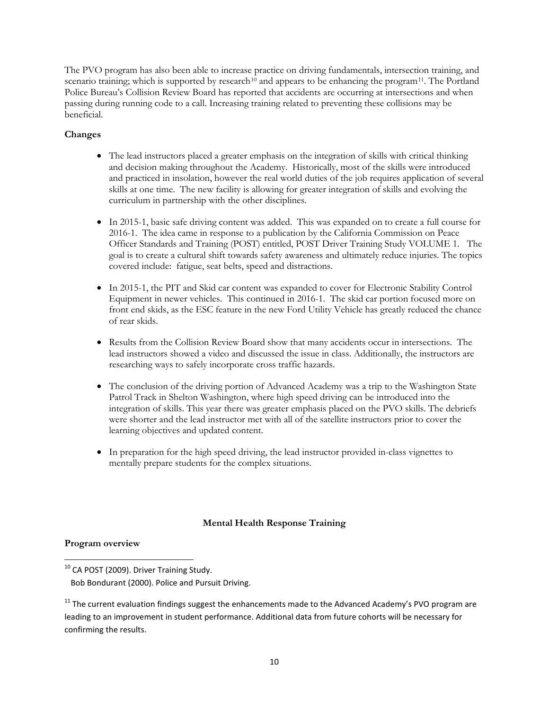The PVO program has also been able to increase practice on driving fundamentals, intersection training, and scenario training; which is supported by research<sup>[10](#page-9-0)</sup> and appears to be enhancing the program<sup>11</sup>. The Portland Police Bureau's Collision Review Board has reported that accidents are occurring at intersections and when passing during running code to a call. Increasing training related to preventing these collisions may be beneficial.

# **Changes**

- The lead instructors placed a greater emphasis on the integration of skills with critical thinking and decision making throughout the Academy. Historically, most of the skills were introduced and practiced in insolation, however the real world duties of the job requires application of several skills at one time. The new facility is allowing for greater integration of skills and evolving the curriculum in partnership with the other disciplines.
- In 2015-1, basic safe driving content was added. This was expanded on to create a full course for 2016-1. The idea came in response to a publication by the California Commission on Peace Officer Standards and Training (POST) entitled, POST Driver Training Study VOLUME 1. The goal is to create a cultural shift towards safety awareness and ultimately reduce injuries. The topics covered include: fatigue, seat belts, speed and distractions.
- In 2015-1, the PIT and Skid car content was expanded to cover for Electronic Stability Control Equipment in newer vehicles. This continued in 2016-1. The skid car portion focused more on front end skids, as the ESC feature in the new Ford Utility Vehicle has greatly reduced the chance of rear skids.
- Results from the Collision Review Board show that many accidents occur in intersections. The lead instructors showed a video and discussed the issue in class. Additionally, the instructors are researching ways to safely incorporate cross traffic hazards.
- The conclusion of the driving portion of Advanced Academy was a trip to the Washington State Patrol Track in Shelton Washington, where high speed driving can be introduced into the integration of skills. This year there was greater emphasis placed on the PVO skills. The debriefs were shorter and the lead instructor met with all of the satellite instructors prior to cover the learning objectives and updated content.
- In preparation for the high speed driving, the lead instructor provided in-class vignettes to mentally prepare students for the complex situations.

# **Mental Health Response Training**

# **Program overview**

<span id="page-9-0"></span> $10$  CA POST (2009). Driver Training Study.  $\overline{\phantom{a}}$ 

Bob Bondurant (2000). Police and Pursuit Driving.

<span id="page-9-1"></span><sup>&</sup>lt;sup>11</sup> The current evaluation findings suggest the enhancements made to the Advanced Academy's PVO program are leading to an improvement in student performance. Additional data from future cohorts will be necessary for confirming the results.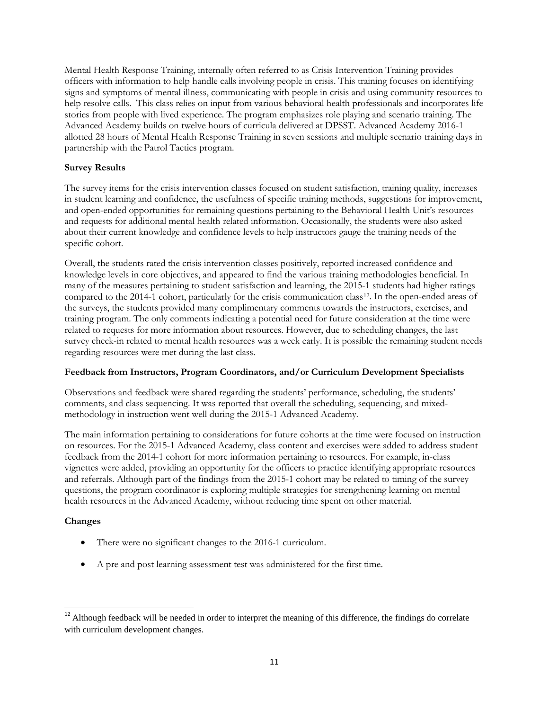Mental Health Response Training, internally often referred to as Crisis Intervention Training provides officers with information to help handle calls involving people in crisis. This training focuses on identifying signs and symptoms of mental illness, communicating with people in crisis and using community resources to help resolve calls. This class relies on input from various behavioral health professionals and incorporates life stories from people with lived experience. The program emphasizes role playing and scenario training. The Advanced Academy builds on twelve hours of curricula delivered at DPSST. Advanced Academy 2016-1 allotted 28 hours of Mental Health Response Training in seven sessions and multiple scenario training days in partnership with the Patrol Tactics program.

# **Survey Results**

The survey items for the crisis intervention classes focused on student satisfaction, training quality, increases in student learning and confidence, the usefulness of specific training methods, suggestions for improvement, and open-ended opportunities for remaining questions pertaining to the Behavioral Health Unit's resources and requests for additional mental health related information. Occasionally, the students were also asked about their current knowledge and confidence levels to help instructors gauge the training needs of the specific cohort.

Overall, the students rated the crisis intervention classes positively, reported increased confidence and knowledge levels in core objectives, and appeared to find the various training methodologies beneficial. In many of the measures pertaining to student satisfaction and learning, the 2015-1 students had higher ratings compared to the 2014-1 cohort, particularly for the crisis communication class<sup>[12](#page-10-0)</sup>. In the open-ended areas of the surveys, the students provided many complimentary comments towards the instructors, exercises, and training program. The only comments indicating a potential need for future consideration at the time were related to requests for more information about resources. However, due to scheduling changes, the last survey check-in related to mental health resources was a week early. It is possible the remaining student needs regarding resources were met during the last class.

# **Feedback from Instructors, Program Coordinators, and/or Curriculum Development Specialists**

Observations and feedback were shared regarding the students' performance, scheduling, the students' comments, and class sequencing. It was reported that overall the scheduling, sequencing, and mixedmethodology in instruction went well during the 2015-1 Advanced Academy.

The main information pertaining to considerations for future cohorts at the time were focused on instruction on resources. For the 2015-1 Advanced Academy, class content and exercises were added to address student feedback from the 2014-1 cohort for more information pertaining to resources. For example, in-class vignettes were added, providing an opportunity for the officers to practice identifying appropriate resources and referrals. Although part of the findings from the 2015-1 cohort may be related to timing of the survey questions, the program coordinator is exploring multiple strategies for strengthening learning on mental health resources in the Advanced Academy, without reducing time spent on other material.

# **Changes**

 $\overline{\phantom{a}}$ 

- There were no significant changes to the 2016-1 curriculum.
- A pre and post learning assessment test was administered for the first time.

<span id="page-10-0"></span> $12$  Although feedback will be needed in order to interpret the meaning of this difference, the findings do correlate with curriculum development changes.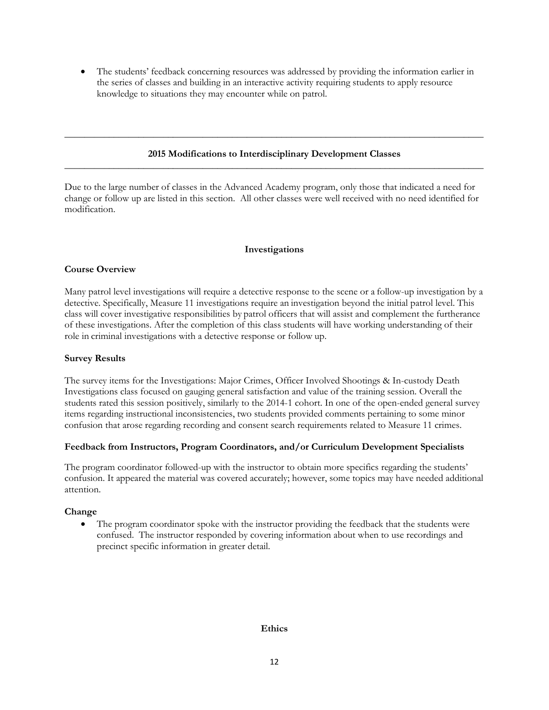The students' feedback concerning resources was addressed by providing the information earlier in the series of classes and building in an interactive activity requiring students to apply resource knowledge to situations they may encounter while on patrol.

# **2015 Modifications to Interdisciplinary Development Classes** \_\_\_\_\_\_\_\_\_\_\_\_\_\_\_\_\_\_\_\_\_\_\_\_\_\_\_\_\_\_\_\_\_\_\_\_\_\_\_\_\_\_\_\_\_\_\_\_\_\_\_\_\_\_\_\_\_\_\_\_\_\_\_\_\_\_\_\_\_\_\_\_\_\_\_\_\_\_\_\_\_\_\_\_\_

**\_\_\_\_\_\_\_\_\_\_\_\_\_\_\_\_\_\_\_\_\_\_\_\_\_\_\_\_\_\_\_\_\_\_\_\_\_\_\_\_\_\_\_\_\_\_\_\_\_\_\_\_\_\_\_\_\_\_\_\_\_\_\_\_\_\_\_\_\_\_\_\_\_\_\_\_\_\_\_\_\_\_\_\_\_**

Due to the large number of classes in the Advanced Academy program, only those that indicated a need for change or follow up are listed in this section. All other classes were well received with no need identified for modification.

#### **Investigations**

#### **Course Overview**

Many patrol level investigations will require a detective response to the scene or a follow-up investigation by a detective. Specifically, Measure 11 investigations require an investigation beyond the initial patrol level. This class will cover investigative responsibilities by patrol officers that will assist and complement the furtherance of these investigations. After the completion of this class students will have working understanding of their role in criminal investigations with a detective response or follow up.

#### **Survey Results**

The survey items for the Investigations: Major Crimes, Officer Involved Shootings & In-custody Death Investigations class focused on gauging general satisfaction and value of the training session. Overall the students rated this session positively, similarly to the 2014-1 cohort. In one of the open-ended general survey items regarding instructional inconsistencies, two students provided comments pertaining to some minor confusion that arose regarding recording and consent search requirements related to Measure 11 crimes.

#### **Feedback from Instructors, Program Coordinators, and/or Curriculum Development Specialists**

The program coordinator followed-up with the instructor to obtain more specifics regarding the students' confusion. It appeared the material was covered accurately; however, some topics may have needed additional attention.

# **Change**

• The program coordinator spoke with the instructor providing the feedback that the students were confused. The instructor responded by covering information about when to use recordings and precinct specific information in greater detail.

#### **Ethics**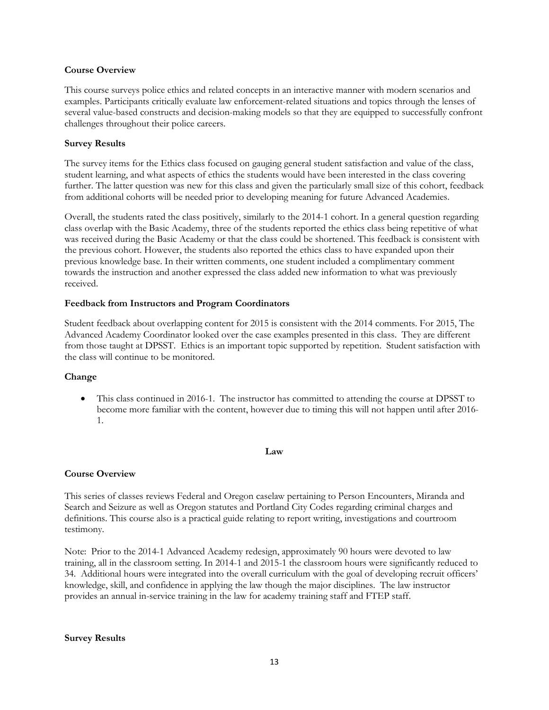#### **Course Overview**

This course surveys police ethics and related concepts in an interactive manner with modern scenarios and examples. Participants critically evaluate law enforcement-related situations and topics through the lenses of several value-based constructs and decision-making models so that they are equipped to successfully confront challenges throughout their police careers.

# **Survey Results**

The survey items for the Ethics class focused on gauging general student satisfaction and value of the class, student learning, and what aspects of ethics the students would have been interested in the class covering further. The latter question was new for this class and given the particularly small size of this cohort, feedback from additional cohorts will be needed prior to developing meaning for future Advanced Academies.

Overall, the students rated the class positively, similarly to the 2014-1 cohort. In a general question regarding class overlap with the Basic Academy, three of the students reported the ethics class being repetitive of what was received during the Basic Academy or that the class could be shortened. This feedback is consistent with the previous cohort. However, the students also reported the ethics class to have expanded upon their previous knowledge base. In their written comments, one student included a complimentary comment towards the instruction and another expressed the class added new information to what was previously received.

#### **Feedback from Instructors and Program Coordinators**

Student feedback about overlapping content for 2015 is consistent with the 2014 comments. For 2015, The Advanced Academy Coordinator looked over the case examples presented in this class. They are different from those taught at DPSST. Ethics is an important topic supported by repetition. Student satisfaction with the class will continue to be monitored.

#### **Change**

• This class continued in 2016-1. The instructor has committed to attending the course at DPSST to become more familiar with the content, however due to timing this will not happen until after 2016- 1.

#### **Law**

# **Course Overview**

This series of classes reviews Federal and Oregon caselaw pertaining to Person Encounters, Miranda and Search and Seizure as well as Oregon statutes and Portland City Codes regarding criminal charges and definitions. This course also is a practical guide relating to report writing, investigations and courtroom testimony.

Note: Prior to the 2014-1 Advanced Academy redesign, approximately 90 hours were devoted to law training, all in the classroom setting. In 2014-1 and 2015-1 the classroom hours were significantly reduced to 34. Additional hours were integrated into the overall curriculum with the goal of developing recruit officers' knowledge, skill, and confidence in applying the law though the major disciplines. The law instructor provides an annual in-service training in the law for academy training staff and FTEP staff.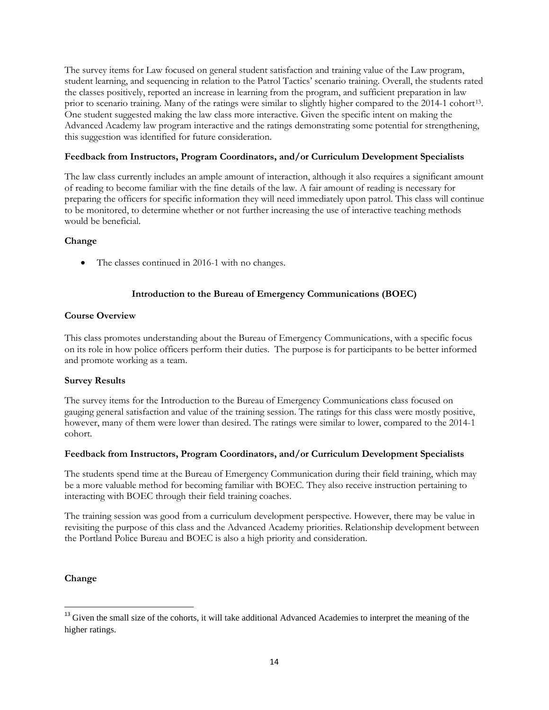The survey items for Law focused on general student satisfaction and training value of the Law program, student learning, and sequencing in relation to the Patrol Tactics' scenario training. Overall, the students rated the classes positively, reported an increase in learning from the program, and sufficient preparation in law prior to scenario training. Many of the ratings were similar to slightly higher compared to the 2014-1 cohort<sup>13</sup>. One student suggested making the law class more interactive. Given the specific intent on making the Advanced Academy law program interactive and the ratings demonstrating some potential for strengthening, this suggestion was identified for future consideration.

# **Feedback from Instructors, Program Coordinators, and/or Curriculum Development Specialists**

The law class currently includes an ample amount of interaction, although it also requires a significant amount of reading to become familiar with the fine details of the law. A fair amount of reading is necessary for preparing the officers for specific information they will need immediately upon patrol. This class will continue to be monitored, to determine whether or not further increasing the use of interactive teaching methods would be beneficial.

#### **Change**

• The classes continued in 2016-1 with no changes.

# **Introduction to the Bureau of Emergency Communications (BOEC)**

# **Course Overview**

This class promotes understanding about the Bureau of Emergency Communications, with a specific focus on its role in how police officers perform their duties. The purpose is for participants to be better informed and promote working as a team.

# **Survey Results**

The survey items for the Introduction to the Bureau of Emergency Communications class focused on gauging general satisfaction and value of the training session. The ratings for this class were mostly positive, however, many of them were lower than desired. The ratings were similar to lower, compared to the 2014-1 cohort.

#### **Feedback from Instructors, Program Coordinators, and/or Curriculum Development Specialists**

The students spend time at the Bureau of Emergency Communication during their field training, which may be a more valuable method for becoming familiar with BOEC. They also receive instruction pertaining to interacting with BOEC through their field training coaches.

The training session was good from a curriculum development perspective. However, there may be value in revisiting the purpose of this class and the Advanced Academy priorities. Relationship development between the Portland Police Bureau and BOEC is also a high priority and consideration.

#### **Change**

 $\overline{\phantom{a}}$ 

<span id="page-13-0"></span><sup>&</sup>lt;sup>13</sup> Given the small size of the cohorts, it will take additional Advanced Academies to interpret the meaning of the higher ratings.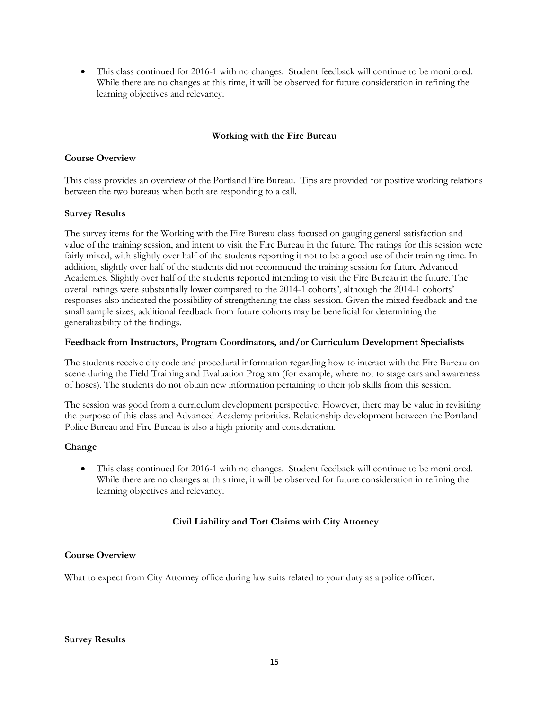• This class continued for 2016-1 with no changes. Student feedback will continue to be monitored. While there are no changes at this time, it will be observed for future consideration in refining the learning objectives and relevancy.

# **Working with the Fire Bureau**

# **Course Overview**

This class provides an overview of the Portland Fire Bureau. Tips are provided for positive working relations between the two bureaus when both are responding to a call.

#### **Survey Results**

The survey items for the Working with the Fire Bureau class focused on gauging general satisfaction and value of the training session, and intent to visit the Fire Bureau in the future. The ratings for this session were fairly mixed, with slightly over half of the students reporting it not to be a good use of their training time. In addition, slightly over half of the students did not recommend the training session for future Advanced Academies. Slightly over half of the students reported intending to visit the Fire Bureau in the future. The overall ratings were substantially lower compared to the 2014-1 cohorts', although the 2014-1 cohorts' responses also indicated the possibility of strengthening the class session. Given the mixed feedback and the small sample sizes, additional feedback from future cohorts may be beneficial for determining the generalizability of the findings.

#### **Feedback from Instructors, Program Coordinators, and/or Curriculum Development Specialists**

The students receive city code and procedural information regarding how to interact with the Fire Bureau on scene during the Field Training and Evaluation Program (for example, where not to stage cars and awareness of hoses). The students do not obtain new information pertaining to their job skills from this session.

The session was good from a curriculum development perspective. However, there may be value in revisiting the purpose of this class and Advanced Academy priorities. Relationship development between the Portland Police Bureau and Fire Bureau is also a high priority and consideration.

# **Change**

• This class continued for 2016-1 with no changes. Student feedback will continue to be monitored. While there are no changes at this time, it will be observed for future consideration in refining the learning objectives and relevancy.

# **Civil Liability and Tort Claims with City Attorney**

# **Course Overview**

What to expect from City Attorney office during law suits related to your duty as a police officer.

#### **Survey Results**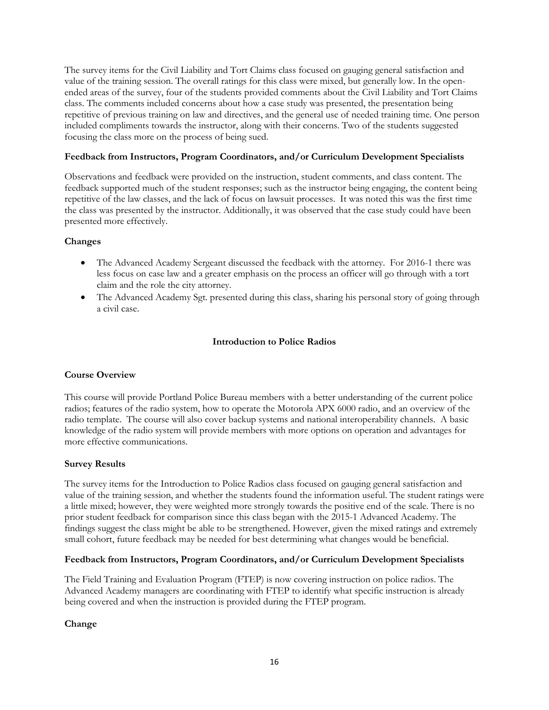The survey items for the Civil Liability and Tort Claims class focused on gauging general satisfaction and value of the training session. The overall ratings for this class were mixed, but generally low. In the openended areas of the survey, four of the students provided comments about the Civil Liability and Tort Claims class. The comments included concerns about how a case study was presented, the presentation being repetitive of previous training on law and directives, and the general use of needed training time. One person included compliments towards the instructor, along with their concerns. Two of the students suggested focusing the class more on the process of being sued.

# **Feedback from Instructors, Program Coordinators, and/or Curriculum Development Specialists**

Observations and feedback were provided on the instruction, student comments, and class content. The feedback supported much of the student responses; such as the instructor being engaging, the content being repetitive of the law classes, and the lack of focus on lawsuit processes. It was noted this was the first time the class was presented by the instructor. Additionally, it was observed that the case study could have been presented more effectively.

# **Changes**

- The Advanced Academy Sergeant discussed the feedback with the attorney. For 2016-1 there was less focus on case law and a greater emphasis on the process an officer will go through with a tort claim and the role the city attorney.
- The Advanced Academy Sgt. presented during this class, sharing his personal story of going through a civil case.

#### **Introduction to Police Radios**

#### **Course Overview**

This course will provide Portland Police Bureau members with a better understanding of the current police radios; features of the radio system, how to operate the Motorola APX 6000 radio, and an overview of the radio template. The course will also cover backup systems and national interoperability channels. A basic knowledge of the radio system will provide members with more options on operation and advantages for more effective communications.

#### **Survey Results**

The survey items for the Introduction to Police Radios class focused on gauging general satisfaction and value of the training session, and whether the students found the information useful. The student ratings were a little mixed; however, they were weighted more strongly towards the positive end of the scale. There is no prior student feedback for comparison since this class began with the 2015-1 Advanced Academy. The findings suggest the class might be able to be strengthened. However, given the mixed ratings and extremely small cohort, future feedback may be needed for best determining what changes would be beneficial.

#### **Feedback from Instructors, Program Coordinators, and/or Curriculum Development Specialists**

The Field Training and Evaluation Program (FTEP) is now covering instruction on police radios. The Advanced Academy managers are coordinating with FTEP to identify what specific instruction is already being covered and when the instruction is provided during the FTEP program.

#### **Change**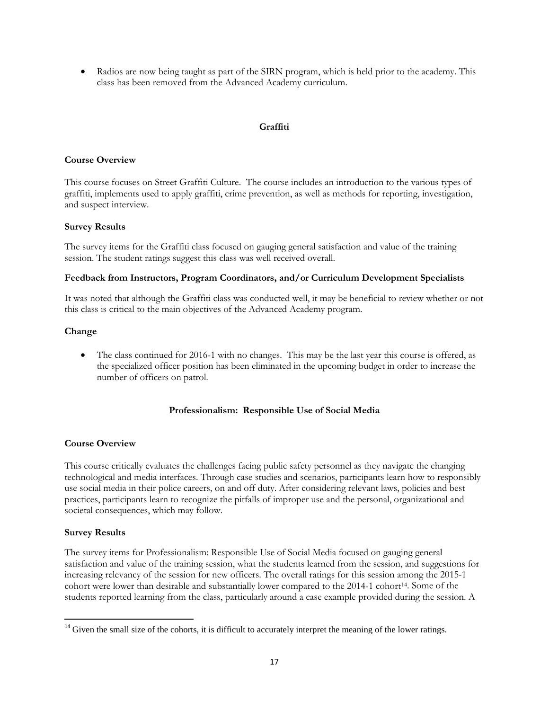• Radios are now being taught as part of the SIRN program, which is held prior to the academy. This class has been removed from the Advanced Academy curriculum.

#### **Graffiti**

#### **Course Overview**

This course focuses on Street Graffiti Culture. The course includes an introduction to the various types of graffiti, implements used to apply graffiti, crime prevention, as well as methods for reporting, investigation, and suspect interview.

#### **Survey Results**

The survey items for the Graffiti class focused on gauging general satisfaction and value of the training session. The student ratings suggest this class was well received overall.

#### **Feedback from Instructors, Program Coordinators, and/or Curriculum Development Specialists**

It was noted that although the Graffiti class was conducted well, it may be beneficial to review whether or not this class is critical to the main objectives of the Advanced Academy program.

#### **Change**

• The class continued for 2016-1 with no changes. This may be the last year this course is offered, as the specialized officer position has been eliminated in the upcoming budget in order to increase the number of officers on patrol.

#### **Professionalism: Responsible Use of Social Media**

# **Course Overview**

This course critically evaluates the challenges facing public safety personnel as they navigate the changing technological and media interfaces. Through case studies and scenarios, participants learn how to responsibly use social media in their police careers, on and off duty. After considering relevant laws, policies and best practices, participants learn to recognize the pitfalls of improper use and the personal, organizational and societal consequences, which may follow.

#### **Survey Results**

l

The survey items for Professionalism: Responsible Use of Social Media focused on gauging general satisfaction and value of the training session, what the students learned from the session, and suggestions for increasing relevancy of the session for new officers. The overall ratings for this session among the 2015-1 cohort were lower than desirable and substantially lower compared to the 20[14](#page-16-0)-1 cohort<sup>14</sup>. Some of the students reported learning from the class, particularly around a case example provided during the session. A

<span id="page-16-0"></span><sup>&</sup>lt;sup>14</sup> Given the small size of the cohorts, it is difficult to accurately interpret the meaning of the lower ratings.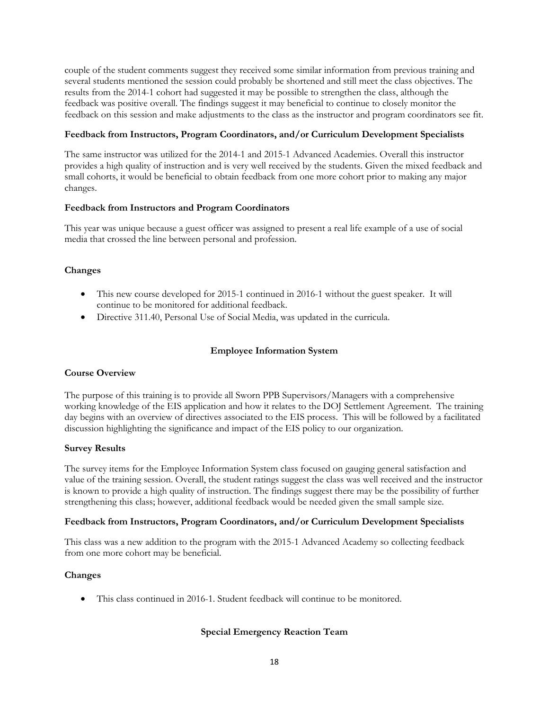couple of the student comments suggest they received some similar information from previous training and several students mentioned the session could probably be shortened and still meet the class objectives. The results from the 2014-1 cohort had suggested it may be possible to strengthen the class, although the feedback was positive overall. The findings suggest it may beneficial to continue to closely monitor the feedback on this session and make adjustments to the class as the instructor and program coordinators see fit.

#### **Feedback from Instructors, Program Coordinators, and/or Curriculum Development Specialists**

The same instructor was utilized for the 2014-1 and 2015-1 Advanced Academies. Overall this instructor provides a high quality of instruction and is very well received by the students. Given the mixed feedback and small cohorts, it would be beneficial to obtain feedback from one more cohort prior to making any major changes.

# **Feedback from Instructors and Program Coordinators**

This year was unique because a guest officer was assigned to present a real life example of a use of social media that crossed the line between personal and profession.

# **Changes**

- This new course developed for 2015-1 continued in 2016-1 without the guest speaker. It will continue to be monitored for additional feedback.
- Directive 311.40, Personal Use of Social Media, was updated in the curricula.

# **Employee Information System**

#### **Course Overview**

The purpose of this training is to provide all Sworn PPB Supervisors/Managers with a comprehensive working knowledge of the EIS application and how it relates to the DOJ Settlement Agreement. The training day begins with an overview of directives associated to the EIS process. This will be followed by a facilitated discussion highlighting the significance and impact of the EIS policy to our organization.

#### **Survey Results**

The survey items for the Employee Information System class focused on gauging general satisfaction and value of the training session. Overall, the student ratings suggest the class was well received and the instructor is known to provide a high quality of instruction. The findings suggest there may be the possibility of further strengthening this class; however, additional feedback would be needed given the small sample size.

#### **Feedback from Instructors, Program Coordinators, and/or Curriculum Development Specialists**

This class was a new addition to the program with the 2015-1 Advanced Academy so collecting feedback from one more cohort may be beneficial.

# **Changes**

• This class continued in 2016-1. Student feedback will continue to be monitored.

# **Special Emergency Reaction Team**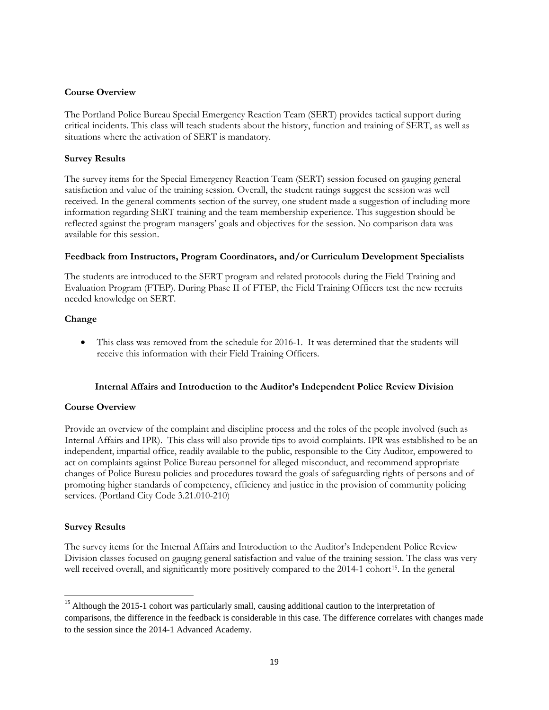#### **Course Overview**

The Portland Police Bureau Special Emergency Reaction Team (SERT) provides tactical support during critical incidents. This class will teach students about the history, function and training of SERT, as well as situations where the activation of SERT is mandatory.

#### **Survey Results**

The survey items for the Special Emergency Reaction Team (SERT) session focused on gauging general satisfaction and value of the training session. Overall, the student ratings suggest the session was well received. In the general comments section of the survey, one student made a suggestion of including more information regarding SERT training and the team membership experience. This suggestion should be reflected against the program managers' goals and objectives for the session. No comparison data was available for this session.

#### **Feedback from Instructors, Program Coordinators, and/or Curriculum Development Specialists**

The students are introduced to the SERT program and related protocols during the Field Training and Evaluation Program (FTEP). During Phase II of FTEP, the Field Training Officers test the new recruits needed knowledge on SERT.

#### **Change**

• This class was removed from the schedule for 2016-1. It was determined that the students will receive this information with their Field Training Officers.

#### **Internal Affairs and Introduction to the Auditor's Independent Police Review Division**

#### **Course Overview**

Provide an overview of the complaint and discipline process and the roles of the people involved (such as Internal Affairs and IPR). This class will also provide tips to avoid complaints. IPR was established to be an independent, impartial office, readily available to the public, responsible to the City Auditor, empowered to act on complaints against Police Bureau personnel for alleged misconduct, and recommend appropriate changes of Police Bureau policies and procedures toward the goals of safeguarding rights of persons and of promoting higher standards of competency, efficiency and justice in the provision of community policing services. (Portland City Code 3.21.010-210)

#### **Survey Results**

l

The survey items for the Internal Affairs and Introduction to the Auditor's Independent Police Review Division classes focused on gauging general satisfaction and value of the training session. The class was very well received overall, and significantly more positively compared to the 2014-1 cohort<sup>[15](#page-18-0)</sup>. In the general

<span id="page-18-0"></span><sup>&</sup>lt;sup>15</sup> Although the 2015-1 cohort was particularly small, causing additional caution to the interpretation of comparisons, the difference in the feedback is considerable in this case. The difference correlates with changes made to the session since the 2014-1 Advanced Academy.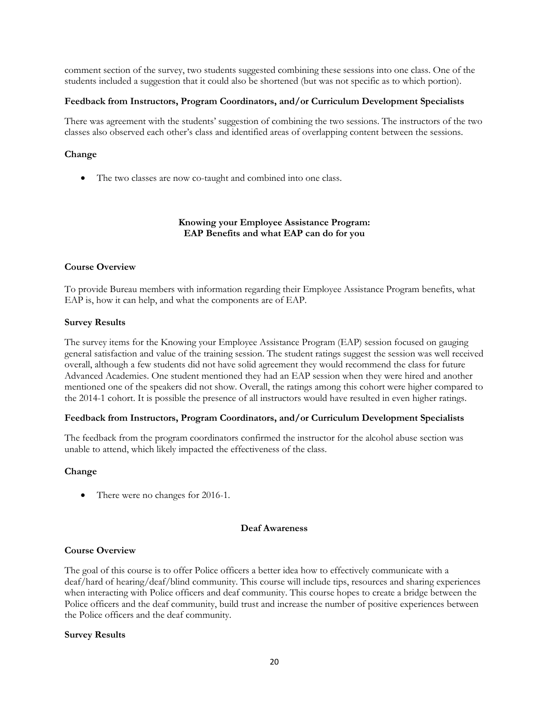comment section of the survey, two students suggested combining these sessions into one class. One of the students included a suggestion that it could also be shortened (but was not specific as to which portion).

#### **Feedback from Instructors, Program Coordinators, and/or Curriculum Development Specialists**

There was agreement with the students' suggestion of combining the two sessions. The instructors of the two classes also observed each other's class and identified areas of overlapping content between the sessions.

#### **Change**

• The two classes are now co-taught and combined into one class.

# **Knowing your Employee Assistance Program: EAP Benefits and what EAP can do for you**

#### **Course Overview**

To provide Bureau members with information regarding their Employee Assistance Program benefits, what EAP is, how it can help, and what the components are of EAP.

#### **Survey Results**

The survey items for the Knowing your Employee Assistance Program (EAP) session focused on gauging general satisfaction and value of the training session. The student ratings suggest the session was well received overall, although a few students did not have solid agreement they would recommend the class for future Advanced Academies. One student mentioned they had an EAP session when they were hired and another mentioned one of the speakers did not show. Overall, the ratings among this cohort were higher compared to the 2014-1 cohort. It is possible the presence of all instructors would have resulted in even higher ratings.

#### **Feedback from Instructors, Program Coordinators, and/or Curriculum Development Specialists**

The feedback from the program coordinators confirmed the instructor for the alcohol abuse section was unable to attend, which likely impacted the effectiveness of the class.

# **Change**

There were no changes for 2016-1.

#### **Deaf Awareness**

#### **Course Overview**

The goal of this course is to offer Police officers a better idea how to effectively communicate with a deaf/hard of hearing/deaf/blind community. This course will include tips, resources and sharing experiences when interacting with Police officers and deaf community. This course hopes to create a bridge between the Police officers and the deaf community, build trust and increase the number of positive experiences between the Police officers and the deaf community.

#### **Survey Results**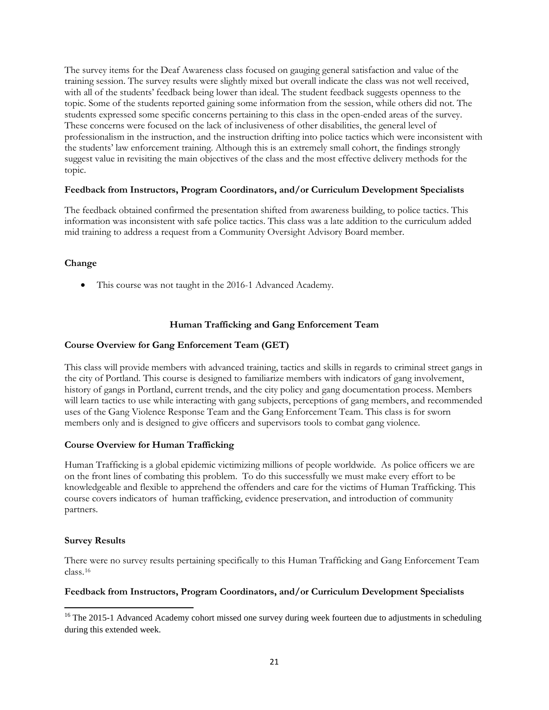The survey items for the Deaf Awareness class focused on gauging general satisfaction and value of the training session. The survey results were slightly mixed but overall indicate the class was not well received, with all of the students' feedback being lower than ideal. The student feedback suggests openness to the topic. Some of the students reported gaining some information from the session, while others did not. The students expressed some specific concerns pertaining to this class in the open-ended areas of the survey. These concerns were focused on the lack of inclusiveness of other disabilities, the general level of professionalism in the instruction, and the instruction drifting into police tactics which were inconsistent with the students' law enforcement training. Although this is an extremely small cohort, the findings strongly suggest value in revisiting the main objectives of the class and the most effective delivery methods for the topic.

# **Feedback from Instructors, Program Coordinators, and/or Curriculum Development Specialists**

The feedback obtained confirmed the presentation shifted from awareness building, to police tactics. This information was inconsistent with safe police tactics. This class was a late addition to the curriculum added mid training to address a request from a Community Oversight Advisory Board member.

# **Change**

• This course was not taught in the 2016-1 Advanced Academy.

# **Human Trafficking and Gang Enforcement Team**

# **Course Overview for Gang Enforcement Team (GET)**

This class will provide members with advanced training, tactics and skills in regards to criminal street gangs in the city of Portland. This course is designed to familiarize members with indicators of gang involvement, history of gangs in Portland, current trends, and the city policy and gang documentation process. Members will learn tactics to use while interacting with gang subjects, perceptions of gang members, and recommended uses of the Gang Violence Response Team and the Gang Enforcement Team. This class is for sworn members only and is designed to give officers and supervisors tools to combat gang violence.

# **Course Overview for Human Trafficking**

Human Trafficking is a global epidemic victimizing millions of people worldwide. As police officers we are on the front lines of combating this problem. To do this successfully we must make every effort to be knowledgeable and flexible to apprehend the offenders and care for the victims of Human Trafficking. This course covers indicators of human trafficking, evidence preservation, and introduction of community partners.

# **Survey Results**

 $\overline{\phantom{a}}$ 

There were no survey results pertaining specifically to this Human Trafficking and Gang Enforcement Team class.[16](#page-20-0)

# **Feedback from Instructors, Program Coordinators, and/or Curriculum Development Specialists**

<span id="page-20-0"></span><sup>&</sup>lt;sup>16</sup> The 2015-1 Advanced Academy cohort missed one survey during week fourteen due to adjustments in scheduling during this extended week.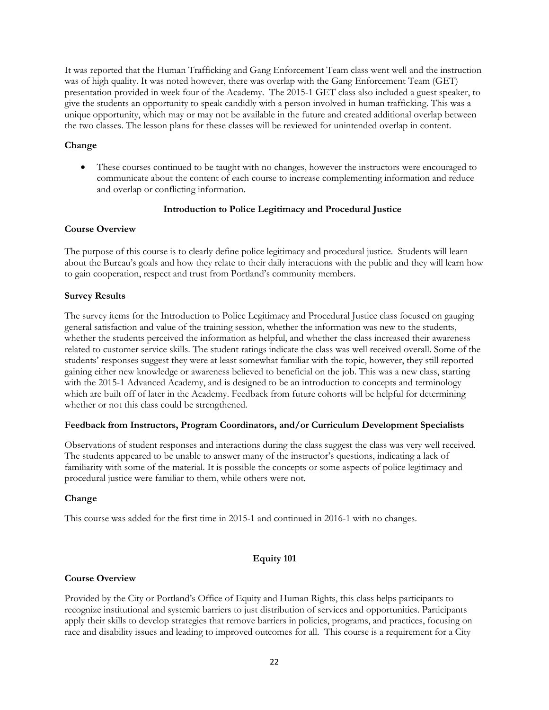It was reported that the Human Trafficking and Gang Enforcement Team class went well and the instruction was of high quality. It was noted however, there was overlap with the Gang Enforcement Team (GET) presentation provided in week four of the Academy. The 2015-1 GET class also included a guest speaker, to give the students an opportunity to speak candidly with a person involved in human trafficking. This was a unique opportunity, which may or may not be available in the future and created additional overlap between the two classes. The lesson plans for these classes will be reviewed for unintended overlap in content.

# **Change**

• These courses continued to be taught with no changes, however the instructors were encouraged to communicate about the content of each course to increase complementing information and reduce and overlap or conflicting information.

# **Introduction to Police Legitimacy and Procedural Justice**

# **Course Overview**

The purpose of this course is to clearly define police legitimacy and procedural justice. Students will learn about the Bureau's goals and how they relate to their daily interactions with the public and they will learn how to gain cooperation, respect and trust from Portland's community members.

# **Survey Results**

The survey items for the Introduction to Police Legitimacy and Procedural Justice class focused on gauging general satisfaction and value of the training session, whether the information was new to the students, whether the students perceived the information as helpful, and whether the class increased their awareness related to customer service skills. The student ratings indicate the class was well received overall. Some of the students' responses suggest they were at least somewhat familiar with the topic, however, they still reported gaining either new knowledge or awareness believed to beneficial on the job. This was a new class, starting with the 2015-1 Advanced Academy, and is designed to be an introduction to concepts and terminology which are built off of later in the Academy. Feedback from future cohorts will be helpful for determining whether or not this class could be strengthened.

# **Feedback from Instructors, Program Coordinators, and/or Curriculum Development Specialists**

Observations of student responses and interactions during the class suggest the class was very well received. The students appeared to be unable to answer many of the instructor's questions, indicating a lack of familiarity with some of the material. It is possible the concepts or some aspects of police legitimacy and procedural justice were familiar to them, while others were not.

# **Change**

This course was added for the first time in 2015-1 and continued in 2016-1 with no changes.

# **Equity 101**

# **Course Overview**

Provided by the City or Portland's Office of Equity and Human Rights, this class helps participants to recognize institutional and systemic barriers to just distribution of services and opportunities. Participants apply their skills to develop strategies that remove barriers in policies, programs, and practices, focusing on race and disability issues and leading to improved outcomes for all. This course is a requirement for a City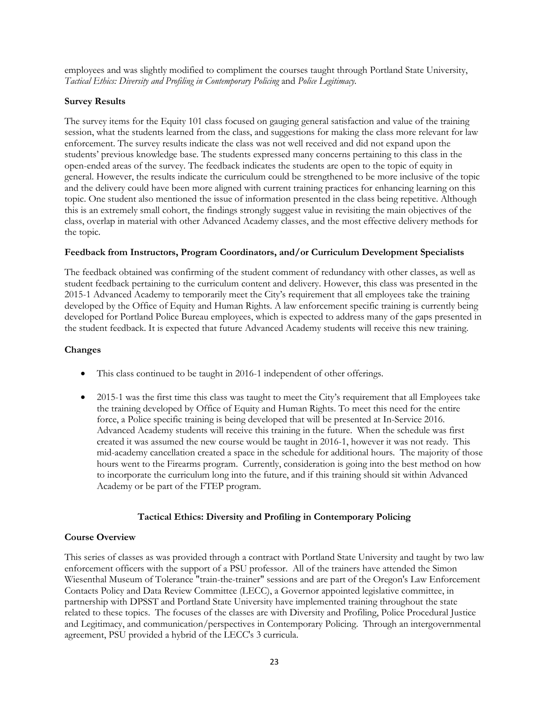employees and was slightly modified to compliment the courses taught through Portland State University, *Tactical Ethics: Diversity and Profiling in Contemporary Policing* and *Police Legitimacy.*

# **Survey Results**

The survey items for the Equity 101 class focused on gauging general satisfaction and value of the training session, what the students learned from the class, and suggestions for making the class more relevant for law enforcement. The survey results indicate the class was not well received and did not expand upon the students' previous knowledge base. The students expressed many concerns pertaining to this class in the open-ended areas of the survey. The feedback indicates the students are open to the topic of equity in general. However, the results indicate the curriculum could be strengthened to be more inclusive of the topic and the delivery could have been more aligned with current training practices for enhancing learning on this topic. One student also mentioned the issue of information presented in the class being repetitive. Although this is an extremely small cohort, the findings strongly suggest value in revisiting the main objectives of the class, overlap in material with other Advanced Academy classes, and the most effective delivery methods for the topic.

#### **Feedback from Instructors, Program Coordinators, and/or Curriculum Development Specialists**

The feedback obtained was confirming of the student comment of redundancy with other classes, as well as student feedback pertaining to the curriculum content and delivery. However, this class was presented in the 2015-1 Advanced Academy to temporarily meet the City's requirement that all employees take the training developed by the Office of Equity and Human Rights. A law enforcement specific training is currently being developed for Portland Police Bureau employees, which is expected to address many of the gaps presented in the student feedback. It is expected that future Advanced Academy students will receive this new training.

#### **Changes**

- This class continued to be taught in 2016-1 independent of other offerings.
- 2015-1 was the first time this class was taught to meet the City's requirement that all Employees take the training developed by Office of Equity and Human Rights. To meet this need for the entire force, a Police specific training is being developed that will be presented at In-Service 2016. Advanced Academy students will receive this training in the future. When the schedule was first created it was assumed the new course would be taught in 2016-1, however it was not ready. This mid-academy cancellation created a space in the schedule for additional hours. The majority of those hours went to the Firearms program. Currently, consideration is going into the best method on how to incorporate the curriculum long into the future, and if this training should sit within Advanced Academy or be part of the FTEP program.

# **Tactical Ethics: Diversity and Profiling in Contemporary Policing**

# **Course Overview**

This series of classes as was provided through a contract with Portland State University and taught by two law enforcement officers with the support of a PSU professor. All of the trainers have attended the Simon Wiesenthal Museum of Tolerance "train-the-trainer" sessions and are part of the Oregon's Law Enforcement Contacts Policy and Data Review Committee (LECC), a Governor appointed legislative committee, in partnership with DPSST and Portland State University have implemented training throughout the state related to these topics. The focuses of the classes are with Diversity and Profiling, Police Procedural Justice and Legitimacy, and communication/perspectives in Contemporary Policing. Through an intergovernmental agreement, PSU provided a hybrid of the LECC's 3 curricula.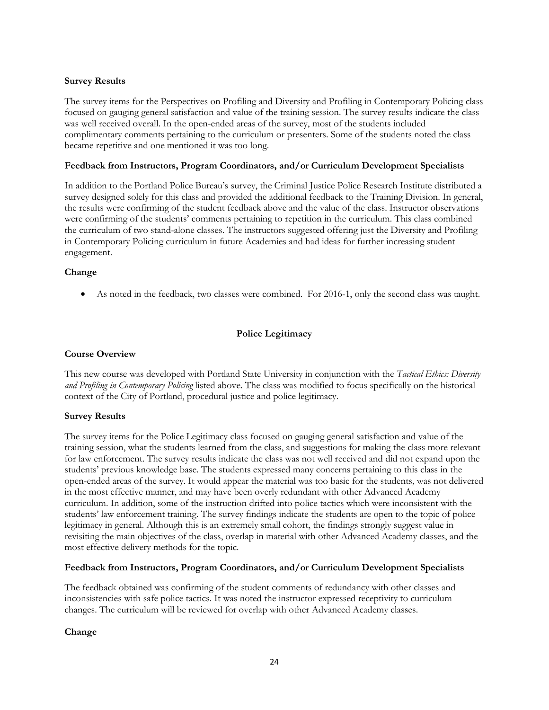# **Survey Results**

The survey items for the Perspectives on Profiling and Diversity and Profiling in Contemporary Policing class focused on gauging general satisfaction and value of the training session. The survey results indicate the class was well received overall. In the open-ended areas of the survey, most of the students included complimentary comments pertaining to the curriculum or presenters. Some of the students noted the class became repetitive and one mentioned it was too long.

# **Feedback from Instructors, Program Coordinators, and/or Curriculum Development Specialists**

In addition to the Portland Police Bureau's survey, the Criminal Justice Police Research Institute distributed a survey designed solely for this class and provided the additional feedback to the Training Division. In general, the results were confirming of the student feedback above and the value of the class. Instructor observations were confirming of the students' comments pertaining to repetition in the curriculum. This class combined the curriculum of two stand-alone classes. The instructors suggested offering just the Diversity and Profiling in Contemporary Policing curriculum in future Academies and had ideas for further increasing student engagement.

# **Change**

• As noted in the feedback, two classes were combined. For 2016-1, only the second class was taught.

# **Police Legitimacy**

# **Course Overview**

This new course was developed with Portland State University in conjunction with the *Tactical Ethics: Diversity and Profiling in Contemporary Policing* listed above. The class was modified to focus specifically on the historical context of the City of Portland, procedural justice and police legitimacy.

# **Survey Results**

The survey items for the Police Legitimacy class focused on gauging general satisfaction and value of the training session, what the students learned from the class, and suggestions for making the class more relevant for law enforcement. The survey results indicate the class was not well received and did not expand upon the students' previous knowledge base. The students expressed many concerns pertaining to this class in the open-ended areas of the survey. It would appear the material was too basic for the students, was not delivered in the most effective manner, and may have been overly redundant with other Advanced Academy curriculum. In addition, some of the instruction drifted into police tactics which were inconsistent with the students' law enforcement training. The survey findings indicate the students are open to the topic of police legitimacy in general. Although this is an extremely small cohort, the findings strongly suggest value in revisiting the main objectives of the class, overlap in material with other Advanced Academy classes, and the most effective delivery methods for the topic.

# **Feedback from Instructors, Program Coordinators, and/or Curriculum Development Specialists**

The feedback obtained was confirming of the student comments of redundancy with other classes and inconsistencies with safe police tactics. It was noted the instructor expressed receptivity to curriculum changes. The curriculum will be reviewed for overlap with other Advanced Academy classes.

# **Change**